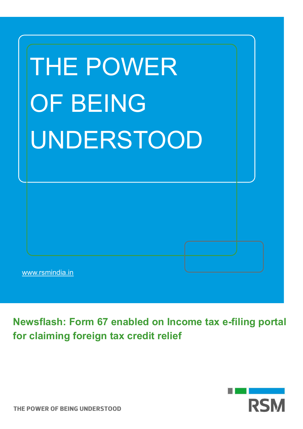| <b>THE POWER</b><br><b>OF BEING</b><br>UNDERSTOOD |  |
|---------------------------------------------------|--|
|                                                   |  |
| www.rsmindia.in                                   |  |

**Newsflash: Form 67 enabled on Income tax e-filing portal for claiming foreign tax credit relief**

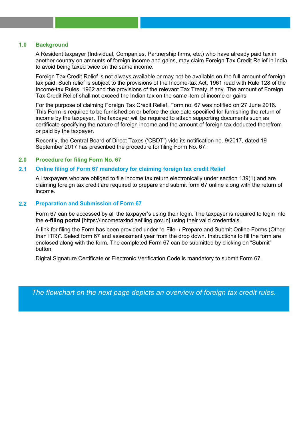### **1.0 Background**

A Resident taxpayer (Individual, Companies, Partnership firms, etc.) who have already paid tax in another country on amounts of foreign income and gains, may claim Foreign Tax Credit Relief in India to avoid being taxed twice on the same income.

Foreign Tax Credit Relief is not always available or may not be available on the full amount of foreign tax paid. Such relief is subject to the provisions of the Income-tax Act, 1961 read with Rule 128 of the Income-tax Rules, 1962 and the provisions of the relevant Tax Treaty, if any. The amount of Foreign Tax Credit Relief shall not exceed the Indian tax on the same item of income or gains

For the purpose of claiming Foreign Tax Credit Relief, Form no. 67 was notified on 27 June 2016. This Form is required to be furnished on or before the due date specified for furnishing the return of income by the taxpayer. The taxpayer will be required to attach supporting documents such as certificate specifying the nature of foreign income and the amount of foreign tax deducted therefrom or paid by the taxpayer.

Recently, the Central Board of Direct Taxes ('CBDT') vide its notification no. 9/2017, dated 19 September 2017 has prescribed the procedure for filing Form No. 67.

## **2.0 Procedure for filing Form No. 67**

## **2.1 Online filing of Form 67 mandatory for claiming foreign tax credit Relief**

All taxpayers who are obliged to file income tax return electronically under section 139(1) and are claiming foreign tax credit are required to prepare and submit form 67 online along with the return of income.

# **2.2 Preparation and Submission of Form 67**

Form 67 can be accessed by all the taxpayer's using their login. The taxpayer is required to login into the **e-filing portal** [https://incometaxindiaefiling.gov.in] using their valid credentials.

A link for filing the Form has been provided under "e-File -› Prepare and Submit Online Forms (Other than ITR)". Select form 67 and assessment year from the drop down. Instructions to fill the form are enclosed along with the form. The completed Form 67 can be submitted by clicking on "Submit" button.

Digital Signature Certificate or Electronic Verification Code is mandatory to submit Form 67.

*The flowchart on the next page depicts an overview of foreign tax credit rules.*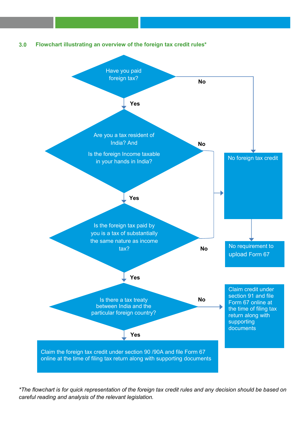



*\*The flowchart is for quick representation of the foreign tax credit rules and any decision should be based on careful reading and analysis of the relevant legislation.*